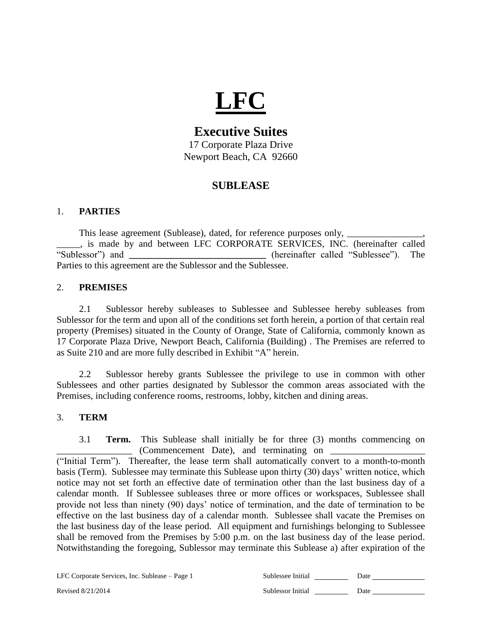# **LFC**

# **Executive Suites**

17 Corporate Plaza Drive Newport Beach, CA 92660

# **SUBLEASE**

## 1. **PARTIES**

This lease agreement (Sublease), dated, for reference purposes only, \_\_\_\_\_\_\_\_\_\_\_ \_\_\_\_\_, is made by and between LFC CORPORATE SERVICES, INC. (hereinafter called "Sublessor") and **\_\_\_\_\_\_\_\_\_\_\_\_\_\_\_\_\_\_\_\_\_\_\_\_\_\_\_\_\_** (hereinafter called "Sublessee"). The Parties to this agreement are the Sublessor and the Sublessee.

### 2. **PREMISES**

2.1 Sublessor hereby subleases to Sublessee and Sublessee hereby subleases from Sublessor for the term and upon all of the conditions set forth herein, a portion of that certain real property (Premises) situated in the County of Orange, State of California, commonly known as 17 Corporate Plaza Drive, Newport Beach, California (Building) . The Premises are referred to as Suite 210 and are more fully described in Exhibit "A" herein.

2.2 Sublessor hereby grants Sublessee the privilege to use in common with other Sublessees and other parties designated by Sublessor the common areas associated with the Premises, including conference rooms, restrooms, lobby, kitchen and dining areas.

#### 3. **TERM**

3.1 **Term.** This Sublease shall initially be for three (3) months commencing on  $\Box$  (Commencement Date), and terminating on  $\Box$ 

("Initial Term"). Thereafter, the lease term shall automatically convert to a month-to-month basis (Term). Sublessee may terminate this Sublease upon thirty (30) days' written notice, which notice may not set forth an effective date of termination other than the last business day of a calendar month. If Sublessee subleases three or more offices or workspaces, Sublessee shall provide not less than ninety (90) days' notice of termination, and the date of termination to be effective on the last business day of a calendar month. Sublessee shall vacate the Premises on the last business day of the lease period. All equipment and furnishings belonging to Sublessee shall be removed from the Premises by 5:00 p.m. on the last business day of the lease period. Notwithstanding the foregoing, Sublessor may terminate this Sublease a) after expiration of the

LFC Corporate Services, Inc. Sublease – Page 1  $\,$  Sub-

| ublessee Initial | Date |  |
|------------------|------|--|
|                  |      |  |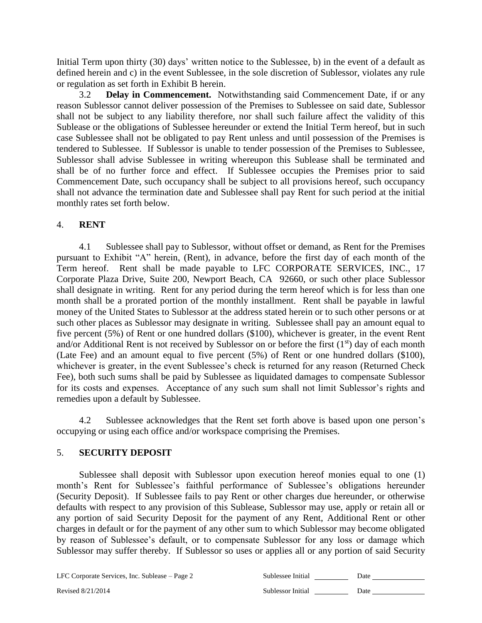Initial Term upon thirty (30) days' written notice to the Sublessee, b) in the event of a default as defined herein and c) in the event Sublessee, in the sole discretion of Sublessor, violates any rule or regulation as set forth in Exhibit B herein.

3.2 **Delay in Commencement.** Notwithstanding said Commencement Date, if or any reason Sublessor cannot deliver possession of the Premises to Sublessee on said date, Sublessor shall not be subject to any liability therefore, nor shall such failure affect the validity of this Sublease or the obligations of Sublessee hereunder or extend the Initial Term hereof, but in such case Sublessee shall not be obligated to pay Rent unless and until possession of the Premises is tendered to Sublessee. If Sublessor is unable to tender possession of the Premises to Sublessee, Sublessor shall advise Sublessee in writing whereupon this Sublease shall be terminated and shall be of no further force and effect. If Sublessee occupies the Premises prior to said Commencement Date, such occupancy shall be subject to all provisions hereof, such occupancy shall not advance the termination date and Sublessee shall pay Rent for such period at the initial monthly rates set forth below.

#### 4. **RENT**

4.1 Sublessee shall pay to Sublessor, without offset or demand, as Rent for the Premises pursuant to Exhibit "A" herein, (Rent), in advance, before the first day of each month of the Term hereof. Rent shall be made payable to LFC CORPORATE SERVICES, INC., 17 Corporate Plaza Drive, Suite 200, Newport Beach, CA 92660, or such other place Sublessor shall designate in writing. Rent for any period during the term hereof which is for less than one month shall be a prorated portion of the monthly installment. Rent shall be payable in lawful money of the United States to Sublessor at the address stated herein or to such other persons or at such other places as Sublessor may designate in writing. Sublessee shall pay an amount equal to five percent (5%) of Rent or one hundred dollars (\$100), whichever is greater, in the event Rent and/or Additional Rent is not received by Sublessor on or before the first  $(1<sup>st</sup>)$  day of each month (Late Fee) and an amount equal to five percent (5%) of Rent or one hundred dollars (\$100), whichever is greater, in the event Sublessee's check is returned for any reason (Returned Check Fee), both such sums shall be paid by Sublessee as liquidated damages to compensate Sublessor for its costs and expenses. Acceptance of any such sum shall not limit Sublessor's rights and remedies upon a default by Sublessee.

4.2 Sublessee acknowledges that the Rent set forth above is based upon one person's occupying or using each office and/or workspace comprising the Premises.

#### 5. **SECURITY DEPOSIT**

Sublessee shall deposit with Sublessor upon execution hereof monies equal to one (1) month's Rent for Sublessee's faithful performance of Sublessee's obligations hereunder (Security Deposit). If Sublessee fails to pay Rent or other charges due hereunder, or otherwise defaults with respect to any provision of this Sublease, Sublessor may use, apply or retain all or any portion of said Security Deposit for the payment of any Rent, Additional Rent or other charges in default or for the payment of any other sum to which Sublessor may become obligated by reason of Sublessee's default, or to compensate Sublessor for any loss or damage which Sublessor may suffer thereby. If Sublessor so uses or applies all or any portion of said Security

LFC Corporate Services, Inc. Sublease - Page 2

| Sublessee Initial | Date |  |
|-------------------|------|--|
| Sublessor Initial | Date |  |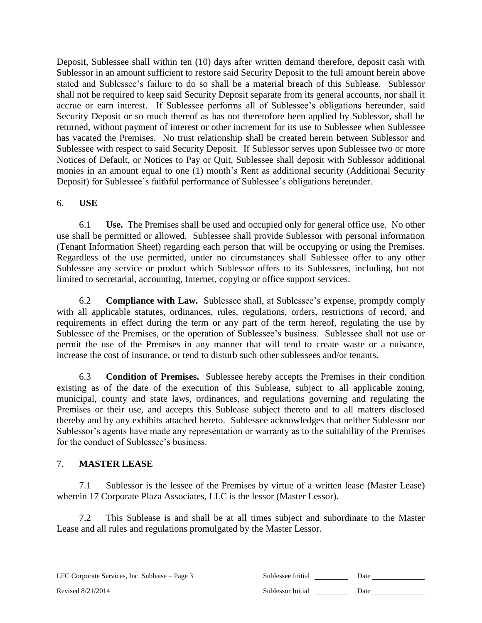Deposit, Sublessee shall within ten (10) days after written demand therefore, deposit cash with Sublessor in an amount sufficient to restore said Security Deposit to the full amount herein above stated and Sublessee's failure to do so shall be a material breach of this Sublease. Sublessor shall not be required to keep said Security Deposit separate from its general accounts, nor shall it accrue or earn interest. If Sublessee performs all of Sublessee's obligations hereunder, said Security Deposit or so much thereof as has not theretofore been applied by Sublessor, shall be returned, without payment of interest or other increment for its use to Sublessee when Sublessee has vacated the Premises. No trust relationship shall be created herein between Sublessor and Sublessee with respect to said Security Deposit. If Sublessor serves upon Sublessee two or more Notices of Default, or Notices to Pay or Quit, Sublessee shall deposit with Sublessor additional monies in an amount equal to one (1) month's Rent as additional security (Additional Security Deposit) for Sublessee's faithful performance of Sublessee's obligations hereunder.

#### 6. **USE**

6.1 **Use.** The Premises shall be used and occupied only for general office use. No other use shall be permitted or allowed. Sublessee shall provide Sublessor with personal information (Tenant Information Sheet) regarding each person that will be occupying or using the Premises. Regardless of the use permitted, under no circumstances shall Sublessee offer to any other Sublessee any service or product which Sublessor offers to its Sublessees, including, but not limited to secretarial, accounting, Internet, copying or office support services.

6.2 **Compliance with Law.** Sublessee shall, at Sublessee's expense, promptly comply with all applicable statutes, ordinances, rules, regulations, orders, restrictions of record, and requirements in effect during the term or any part of the term hereof, regulating the use by Sublessee of the Premises, or the operation of Sublessee's business. Sublessee shall not use or permit the use of the Premises in any manner that will tend to create waste or a nuisance, increase the cost of insurance, or tend to disturb such other sublessees and/or tenants.

6.3 **Condition of Premises.** Sublessee hereby accepts the Premises in their condition existing as of the date of the execution of this Sublease, subject to all applicable zoning, municipal, county and state laws, ordinances, and regulations governing and regulating the Premises or their use, and accepts this Sublease subject thereto and to all matters disclosed thereby and by any exhibits attached hereto. Sublessee acknowledges that neither Sublessor nor Sublessor's agents have made any representation or warranty as to the suitability of the Premises for the conduct of Sublessee's business.

## 7. **MASTER LEASE**

7.1 Sublessor is the lessee of the Premises by virtue of a written lease (Master Lease) wherein 17 Corporate Plaza Associates, LLC is the lessor (Master Lessor).

7.2 This Sublease is and shall be at all times subject and subordinate to the Master Lease and all rules and regulations promulgated by the Master Lessor.

| LFC Corporate Services, Inc. Sublease – Page 3 | Sublessee Initial | Date |
|------------------------------------------------|-------------------|------|
|------------------------------------------------|-------------------|------|

| iblessee Initial | Date |  |
|------------------|------|--|
|                  |      |  |

Revised 8/21/2014 **Sublessor Initial 2008** Sublessor Initial 2008 Date 2014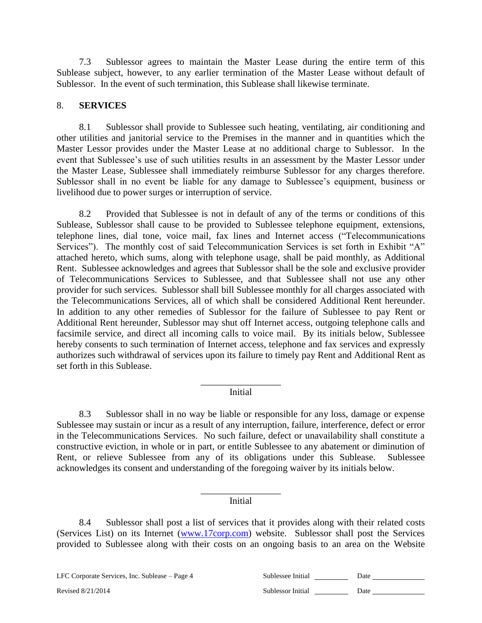7.3 Sublessor agrees to maintain the Master Lease during the entire term of this Sublease subject, however, to any earlier termination of the Master Lease without default of Sublessor. In the event of such termination, this Sublease shall likewise terminate.

#### 8. **SERVICES**

8.1 Sublessor shall provide to Sublessee such heating, ventilating, air conditioning and other utilities and janitorial service to the Premises in the manner and in quantities which the Master Lessor provides under the Master Lease at no additional charge to Sublessor. In the event that Sublessee's use of such utilities results in an assessment by the Master Lessor under the Master Lease, Sublessee shall immediately reimburse Sublessor for any charges therefore. Sublessor shall in no event be liable for any damage to Sublessee's equipment, business or livelihood due to power surges or interruption of service.

8.2 Provided that Sublessee is not in default of any of the terms or conditions of this Sublease, Sublessor shall cause to be provided to Sublessee telephone equipment, extensions, telephone lines, dial tone, voice mail, fax lines and Internet access ("Telecommunications Services"). The monthly cost of said Telecommunication Services is set forth in Exhibit "A" attached hereto, which sums, along with telephone usage, shall be paid monthly, as Additional Rent. Sublessee acknowledges and agrees that Sublessor shall be the sole and exclusive provider of Telecommunications Services to Sublessee, and that Sublessee shall not use any other provider for such services. Sublessor shall bill Sublessee monthly for all charges associated with the Telecommunications Services, all of which shall be considered Additional Rent hereunder. In addition to any other remedies of Sublessor for the failure of Sublessee to pay Rent or Additional Rent hereunder, Sublessor may shut off Internet access, outgoing telephone calls and facsimile service, and direct all incoming calls to voice mail. By its initials below, Sublessee hereby consents to such termination of Internet access, telephone and fax services and expressly authorizes such withdrawal of services upon its failure to timely pay Rent and Additional Rent as set forth in this Sublease.

#### \_\_\_\_\_\_\_\_\_\_\_\_\_\_\_\_\_ Initial

8.3 Sublessor shall in no way be liable or responsible for any loss, damage or expense Sublessee may sustain or incur as a result of any interruption, failure, interference, defect or error in the Telecommunications Services. No such failure, defect or unavailability shall constitute a constructive eviction, in whole or in part, or entitle Sublessee to any abatement or diminution of Rent, or relieve Sublessee from any of its obligations under this Sublease. Sublessee acknowledges its consent and understanding of the foregoing waiver by its initials below.

#### \_\_\_\_\_\_\_\_\_\_\_\_\_\_\_\_\_ Initial

8.4 Sublessor shall post a list of services that it provides along with their related costs (Services List) on its Internet [\(www.17corp.com\)](http://www.17corp.com/) website. Sublessor shall post the Services provided to Sublessee along with their costs on an ongoing basis to an area on the Website

LFC Corporate Services, Inc. Sublease – Page 4 Sub

| iblessee Initial | Date |  |
|------------------|------|--|
|                  |      |  |

Revised 8/21/2014 **Sublessor Initial 2008** Sublessor Initial 2008 Date 2014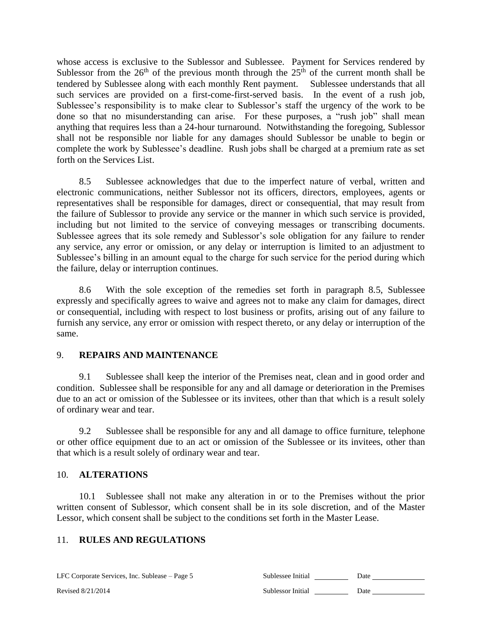whose access is exclusive to the Sublessor and Sublessee. Payment for Services rendered by Sublessor from the  $26<sup>th</sup>$  of the previous month through the  $25<sup>th</sup>$  of the current month shall be tendered by Sublessee along with each monthly Rent payment. Sublessee understands that all such services are provided on a first-come-first-served basis. In the event of a rush job, Sublessee's responsibility is to make clear to Sublessor's staff the urgency of the work to be done so that no misunderstanding can arise. For these purposes, a "rush job" shall mean anything that requires less than a 24-hour turnaround. Notwithstanding the foregoing, Sublessor shall not be responsible nor liable for any damages should Sublessor be unable to begin or complete the work by Sublessee's deadline. Rush jobs shall be charged at a premium rate as set forth on the Services List.

8.5 Sublessee acknowledges that due to the imperfect nature of verbal, written and electronic communications, neither Sublessor not its officers, directors, employees, agents or representatives shall be responsible for damages, direct or consequential, that may result from the failure of Sublessor to provide any service or the manner in which such service is provided, including but not limited to the service of conveying messages or transcribing documents. Sublessee agrees that its sole remedy and Sublessor's sole obligation for any failure to render any service, any error or omission, or any delay or interruption is limited to an adjustment to Sublessee's billing in an amount equal to the charge for such service for the period during which the failure, delay or interruption continues.

8.6 With the sole exception of the remedies set forth in paragraph 8.5, Sublessee expressly and specifically agrees to waive and agrees not to make any claim for damages, direct or consequential, including with respect to lost business or profits, arising out of any failure to furnish any service, any error or omission with respect thereto, or any delay or interruption of the same.

#### 9. **REPAIRS AND MAINTENANCE**

9.1 Sublessee shall keep the interior of the Premises neat, clean and in good order and condition. Sublessee shall be responsible for any and all damage or deterioration in the Premises due to an act or omission of the Sublessee or its invitees, other than that which is a result solely of ordinary wear and tear.

9.2 Sublessee shall be responsible for any and all damage to office furniture, telephone or other office equipment due to an act or omission of the Sublessee or its invitees, other than that which is a result solely of ordinary wear and tear.

#### 10. **ALTERATIONS**

10.1 Sublessee shall not make any alteration in or to the Premises without the prior written consent of Sublessor, which consent shall be in its sole discretion, and of the Master Lessor, which consent shall be subject to the conditions set forth in the Master Lease.

#### 11. **RULES AND REGULATIONS**

LFC Corporate Services, Inc. Sublease – Page 5 Sub-

Revised  $8/21/2014$  Subset Initial Date of  $S<sub>1</sub>$ 

| ublessee Initial | Date |
|------------------|------|
| ublessor Initial | Date |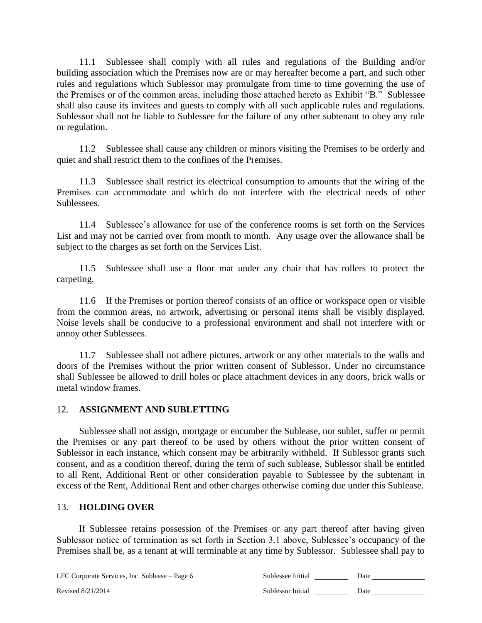11.1 Sublessee shall comply with all rules and regulations of the Building and/or building association which the Premises now are or may hereafter become a part, and such other rules and regulations which Sublessor may promulgate from time to time governing the use of the Premises or of the common areas, including those attached hereto as Exhibit "B." Sublessee shall also cause its invitees and guests to comply with all such applicable rules and regulations. Sublessor shall not be liable to Sublessee for the failure of any other subtenant to obey any rule or regulation.

11.2 Sublessee shall cause any children or minors visiting the Premises to be orderly and quiet and shall restrict them to the confines of the Premises.

11.3 Sublessee shall restrict its electrical consumption to amounts that the wiring of the Premises can accommodate and which do not interfere with the electrical needs of other Sublessees.

11.4 Sublessee's allowance for use of the conference rooms is set forth on the Services List and may not be carried over from month to month. Any usage over the allowance shall be subject to the charges as set forth on the Services List.

11.5 Sublessee shall use a floor mat under any chair that has rollers to protect the carpeting.

11.6 If the Premises or portion thereof consists of an office or workspace open or visible from the common areas, no artwork, advertising or personal items shall be visibly displayed. Noise levels shall be conducive to a professional environment and shall not interfere with or annoy other Sublessees.

11.7 Sublessee shall not adhere pictures, artwork or any other materials to the walls and doors of the Premises without the prior written consent of Sublessor. Under no circumstance shall Sublessee be allowed to drill holes or place attachment devices in any doors, brick walls or metal window frames.

#### 12. **ASSIGNMENT AND SUBLETTING**

Sublessee shall not assign, mortgage or encumber the Sublease, nor sublet, suffer or permit the Premises or any part thereof to be used by others without the prior written consent of Sublessor in each instance, which consent may be arbitrarily withheld. If Sublessor grants such consent, and as a condition thereof, during the term of such sublease, Sublessor shall be entitled to all Rent, Additional Rent or other consideration payable to Sublessee by the subtenant in excess of the Rent, Additional Rent and other charges otherwise coming due under this Sublease.

#### 13. **HOLDING OVER**

If Sublessee retains possession of the Premises or any part thereof after having given Sublessor notice of termination as set forth in Section 3.1 above, Sublessee's occupancy of the Premises shall be, as a tenant at will terminable at any time by Sublessor. Sublessee shall pay to

LFC Corporate Services, Inc. Sublease – Page 6 Sublements

| ublessee Initial | Date |  |
|------------------|------|--|
|                  |      |  |

Revised 8/21/2014 **Sublessor Initial 2008** Sublessor Initial 2008 Date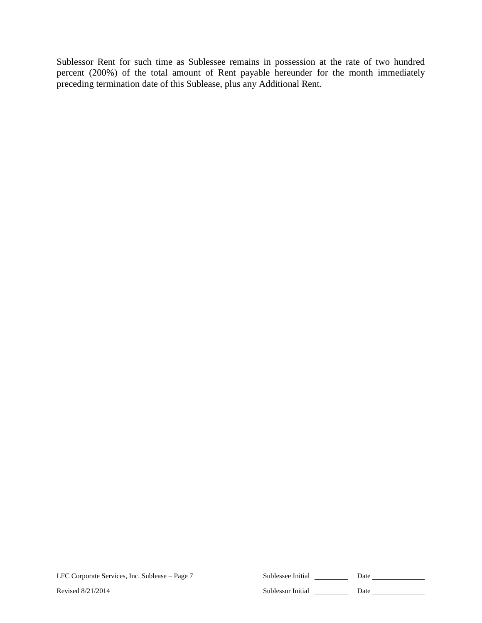Sublessor Rent for such time as Sublessee remains in possession at the rate of two hundred percent (200%) of the total amount of Rent payable hereunder for the month immediately preceding termination date of this Sublease, plus any Additional Rent.

LFC Corporate Services, Inc. Sublease – Page 7 Sublessee Initial 2008 Date 2014

Revised 8/21/2014 Sublessor Initial Date Date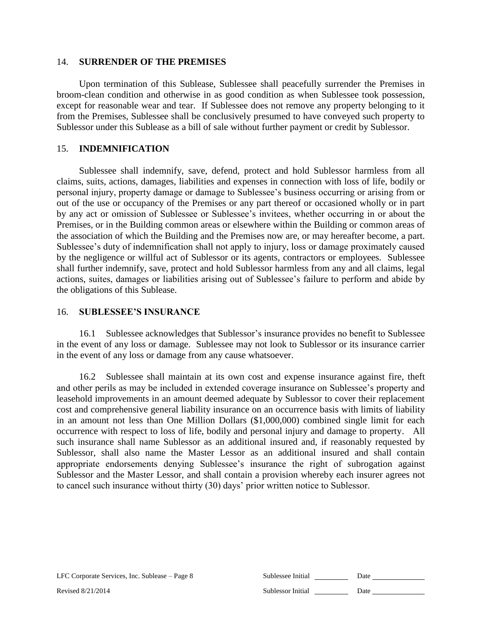#### 14. **SURRENDER OF THE PREMISES**

Upon termination of this Sublease, Sublessee shall peacefully surrender the Premises in broom-clean condition and otherwise in as good condition as when Sublessee took possession, except for reasonable wear and tear. If Sublessee does not remove any property belonging to it from the Premises, Sublessee shall be conclusively presumed to have conveyed such property to Sublessor under this Sublease as a bill of sale without further payment or credit by Sublessor.

#### 15. **INDEMNIFICATION**

Sublessee shall indemnify, save, defend, protect and hold Sublessor harmless from all claims, suits, actions, damages, liabilities and expenses in connection with loss of life, bodily or personal injury, property damage or damage to Sublessee's business occurring or arising from or out of the use or occupancy of the Premises or any part thereof or occasioned wholly or in part by any act or omission of Sublessee or Sublessee's invitees, whether occurring in or about the Premises, or in the Building common areas or elsewhere within the Building or common areas of the association of which the Building and the Premises now are, or may hereafter become, a part. Sublessee's duty of indemnification shall not apply to injury, loss or damage proximately caused by the negligence or willful act of Sublessor or its agents, contractors or employees. Sublessee shall further indemnify, save, protect and hold Sublessor harmless from any and all claims, legal actions, suites, damages or liabilities arising out of Sublessee's failure to perform and abide by the obligations of this Sublease.

#### 16. **SUBLESSEE'S INSURANCE**

16.1 Sublessee acknowledges that Sublessor's insurance provides no benefit to Sublessee in the event of any loss or damage. Sublessee may not look to Sublessor or its insurance carrier in the event of any loss or damage from any cause whatsoever.

16.2 Sublessee shall maintain at its own cost and expense insurance against fire, theft and other perils as may be included in extended coverage insurance on Sublessee's property and leasehold improvements in an amount deemed adequate by Sublessor to cover their replacement cost and comprehensive general liability insurance on an occurrence basis with limits of liability in an amount not less than One Million Dollars (\$1,000,000) combined single limit for each occurrence with respect to loss of life, bodily and personal injury and damage to property. All such insurance shall name Sublessor as an additional insured and, if reasonably requested by Sublessor, shall also name the Master Lessor as an additional insured and shall contain appropriate endorsements denying Sublessee's insurance the right of subrogation against Sublessor and the Master Lessor, and shall contain a provision whereby each insurer agrees not to cancel such insurance without thirty (30) days' prior written notice to Sublessor.

| LFC Corporate Services, Inc. Sublease – Page 8 | Sublessee Initial | Date |
|------------------------------------------------|-------------------|------|
| Revised 8/21/2014                              | Sublessor Initial | Date |
|                                                |                   |      |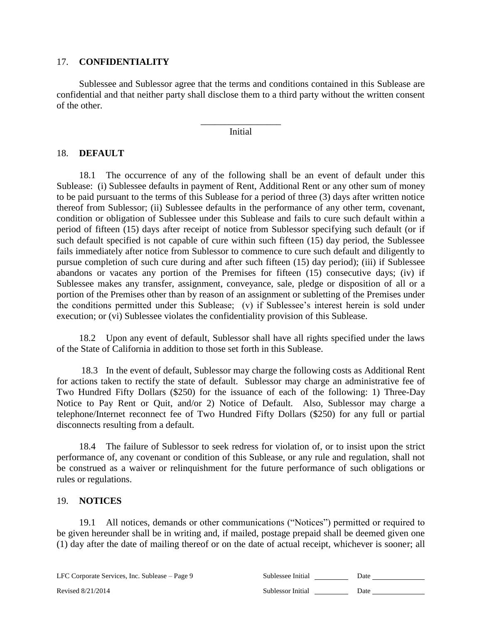#### 17. **CONFIDENTIALITY**

Sublessee and Sublessor agree that the terms and conditions contained in this Sublease are confidential and that neither party shall disclose them to a third party without the written consent of the other.

> \_\_\_\_\_\_\_\_\_\_\_\_\_\_\_\_\_ Initial

#### 18. **DEFAULT**

18.1 The occurrence of any of the following shall be an event of default under this Sublease: (i) Sublessee defaults in payment of Rent, Additional Rent or any other sum of money to be paid pursuant to the terms of this Sublease for a period of three (3) days after written notice thereof from Sublessor; (ii) Sublessee defaults in the performance of any other term, covenant, condition or obligation of Sublessee under this Sublease and fails to cure such default within a period of fifteen (15) days after receipt of notice from Sublessor specifying such default (or if such default specified is not capable of cure within such fifteen (15) day period, the Sublessee fails immediately after notice from Sublessor to commence to cure such default and diligently to pursue completion of such cure during and after such fifteen (15) day period); (iii) if Sublessee abandons or vacates any portion of the Premises for fifteen (15) consecutive days; (iv) if Sublessee makes any transfer, assignment, conveyance, sale, pledge or disposition of all or a portion of the Premises other than by reason of an assignment or subletting of the Premises under the conditions permitted under this Sublease; (v) if Sublessee's interest herein is sold under execution; or (vi) Sublessee violates the confidentiality provision of this Sublease.

18.2 Upon any event of default, Sublessor shall have all rights specified under the laws of the State of California in addition to those set forth in this Sublease.

18.3 In the event of default, Sublessor may charge the following costs as Additional Rent for actions taken to rectify the state of default. Sublessor may charge an administrative fee of Two Hundred Fifty Dollars (\$250) for the issuance of each of the following: 1) Three-Day Notice to Pay Rent or Quit, and/or 2) Notice of Default. Also, Sublessor may charge a telephone/Internet reconnect fee of Two Hundred Fifty Dollars (\$250) for any full or partial disconnects resulting from a default.

18.4 The failure of Sublessor to seek redress for violation of, or to insist upon the strict performance of, any covenant or condition of this Sublease, or any rule and regulation, shall not be construed as a waiver or relinquishment for the future performance of such obligations or rules or regulations.

#### 19. **NOTICES**

19.1 All notices, demands or other communications ("Notices") permitted or required to be given hereunder shall be in writing and, if mailed, postage prepaid shall be deemed given one (1) day after the date of mailing thereof or on the date of actual receipt, whichever is sooner; all

| LFC Corporate Services, Inc. Sublease – Page 9 | Sublessee Initial | Date |
|------------------------------------------------|-------------------|------|
| Revised 8/21/2014                              | Sublessor Initial | Date |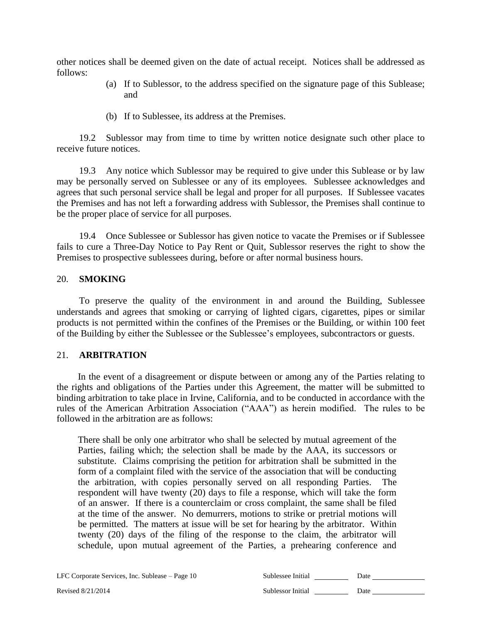other notices shall be deemed given on the date of actual receipt. Notices shall be addressed as follows:

- (a) If to Sublessor, to the address specified on the signature page of this Sublease; and
- (b) If to Sublessee, its address at the Premises.

19.2 Sublessor may from time to time by written notice designate such other place to receive future notices.

19.3 Any notice which Sublessor may be required to give under this Sublease or by law may be personally served on Sublessee or any of its employees. Sublessee acknowledges and agrees that such personal service shall be legal and proper for all purposes. If Sublessee vacates the Premises and has not left a forwarding address with Sublessor, the Premises shall continue to be the proper place of service for all purposes.

19.4 Once Sublessee or Sublessor has given notice to vacate the Premises or if Sublessee fails to cure a Three-Day Notice to Pay Rent or Quit, Sublessor reserves the right to show the Premises to prospective sublessees during, before or after normal business hours.

#### 20. **SMOKING**

To preserve the quality of the environment in and around the Building, Sublessee understands and agrees that smoking or carrying of lighted cigars, cigarettes, pipes or similar products is not permitted within the confines of the Premises or the Building, or within 100 feet of the Building by either the Sublessee or the Sublessee's employees, subcontractors or guests.

#### 21. **ARBITRATION**

In the event of a disagreement or dispute between or among any of the Parties relating to the rights and obligations of the Parties under this Agreement, the matter will be submitted to binding arbitration to take place in Irvine, California, and to be conducted in accordance with the rules of the American Arbitration Association ("AAA") as herein modified. The rules to be followed in the arbitration are as follows:

There shall be only one arbitrator who shall be selected by mutual agreement of the Parties, failing which; the selection shall be made by the AAA, its successors or substitute. Claims comprising the petition for arbitration shall be submitted in the form of a complaint filed with the service of the association that will be conducting the arbitration, with copies personally served on all responding Parties. The respondent will have twenty (20) days to file a response, which will take the form of an answer. If there is a counterclaim or cross complaint, the same shall be filed at the time of the answer. No demurrers, motions to strike or pretrial motions will be permitted. The matters at issue will be set for hearing by the arbitrator. Within twenty (20) days of the filing of the response to the claim, the arbitrator will schedule, upon mutual agreement of the Parties, a prehearing conference and

LFC Corporate Services, Inc. Sublease – Page 10 Sublements of Sublements of Sub-

| LFC Corporate Services, Inc. Sublease – Page 10 | Sublessee Initial | Date |
|-------------------------------------------------|-------------------|------|
| Revised 8/21/2014                               | Sublessor Initial | Date |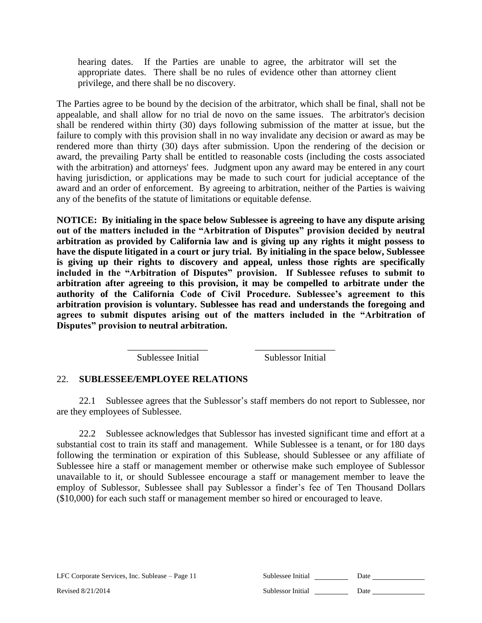hearing dates. If the Parties are unable to agree, the arbitrator will set the appropriate dates. There shall be no rules of evidence other than attorney client privilege, and there shall be no discovery.

The Parties agree to be bound by the decision of the arbitrator, which shall be final, shall not be appealable, and shall allow for no trial de novo on the same issues. The arbitrator's decision shall be rendered within thirty (30) days following submission of the matter at issue, but the failure to comply with this provision shall in no way invalidate any decision or award as may be rendered more than thirty (30) days after submission. Upon the rendering of the decision or award, the prevailing Party shall be entitled to reasonable costs (including the costs associated with the arbitration) and attorneys' fees. Judgment upon any award may be entered in any court having jurisdiction, or applications may be made to such court for judicial acceptance of the award and an order of enforcement. By agreeing to arbitration, neither of the Parties is waiving any of the benefits of the statute of limitations or equitable defense.

**NOTICE: By initialing in the space below Sublessee is agreeing to have any dispute arising out of the matters included in the "Arbitration of Disputes" provision decided by neutral arbitration as provided by California law and is giving up any rights it might possess to have the dispute litigated in a court or jury trial. By initialing in the space below, Sublessee is giving up their rights to discovery and appeal, unless those rights are specifically included in the "Arbitration of Disputes" provision. If Sublessee refuses to submit to arbitration after agreeing to this provision, it may be compelled to arbitrate under the authority of the California Code of Civil Procedure. Sublessee's agreement to this arbitration provision is voluntary. Sublessee has read and understands the foregoing and agrees to submit disputes arising out of the matters included in the "Arbitration of Disputes" provision to neutral arbitration.**

Sublessee Initial Sublessor Initial

#### 22. **SUBLESSEE/EMPLOYEE RELATIONS**

22.1 Sublessee agrees that the Sublessor's staff members do not report to Sublessee, nor are they employees of Sublessee.

\_\_\_\_\_\_\_\_\_\_\_\_\_\_\_\_\_ \_\_\_\_\_\_\_\_\_\_\_\_\_\_\_\_\_

22.2 Sublessee acknowledges that Sublessor has invested significant time and effort at a substantial cost to train its staff and management. While Sublessee is a tenant, or for 180 days following the termination or expiration of this Sublease, should Sublessee or any affiliate of Sublessee hire a staff or management member or otherwise make such employee of Sublessor unavailable to it, or should Sublessee encourage a staff or management member to leave the employ of Sublessor, Sublessee shall pay Sublessor a finder's fee of Ten Thousand Dollars (\$10,000) for each such staff or management member so hired or encouraged to leave.

| LFC Corporate Services, Inc. Sublease – Page 11 | Sublessee Initial | Date |
|-------------------------------------------------|-------------------|------|
| Revised 8/21/2014                               | Sublessor Initial | Date |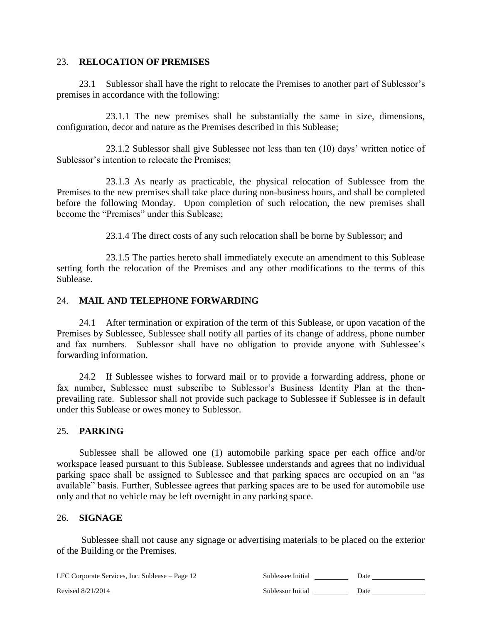#### 23. **RELOCATION OF PREMISES**

23.1 Sublessor shall have the right to relocate the Premises to another part of Sublessor's premises in accordance with the following:

23.1.1 The new premises shall be substantially the same in size, dimensions, configuration, decor and nature as the Premises described in this Sublease;

23.1.2 Sublessor shall give Sublessee not less than ten (10) days' written notice of Sublessor's intention to relocate the Premises;

23.1.3 As nearly as practicable, the physical relocation of Sublessee from the Premises to the new premises shall take place during non-business hours, and shall be completed before the following Monday. Upon completion of such relocation, the new premises shall become the "Premises" under this Sublease;

23.1.4 The direct costs of any such relocation shall be borne by Sublessor; and

23.1.5 The parties hereto shall immediately execute an amendment to this Sublease setting forth the relocation of the Premises and any other modifications to the terms of this Sublease.

#### 24. **MAIL AND TELEPHONE FORWARDING**

24.1 After termination or expiration of the term of this Sublease, or upon vacation of the Premises by Sublessee, Sublessee shall notify all parties of its change of address, phone number and fax numbers. Sublessor shall have no obligation to provide anyone with Sublessee's forwarding information.

24.2 If Sublessee wishes to forward mail or to provide a forwarding address, phone or fax number, Sublessee must subscribe to Sublessor's Business Identity Plan at the thenprevailing rate. Sublessor shall not provide such package to Sublessee if Sublessee is in default under this Sublease or owes money to Sublessor.

#### 25. **PARKING**

Sublessee shall be allowed one (1) automobile parking space per each office and/or workspace leased pursuant to this Sublease. Sublessee understands and agrees that no individual parking space shall be assigned to Sublessee and that parking spaces are occupied on an "as available" basis. Further, Sublessee agrees that parking spaces are to be used for automobile use only and that no vehicle may be left overnight in any parking space.

#### 26. **SIGNAGE**

Sublessee shall not cause any signage or advertising materials to be placed on the exterior of the Building or the Premises.

LFC Corporate Services, Inc. Sublease – Page 12 Sublessee Initial 2008 Date 2014

Revised 8/21/2014 Sublessor Initial Date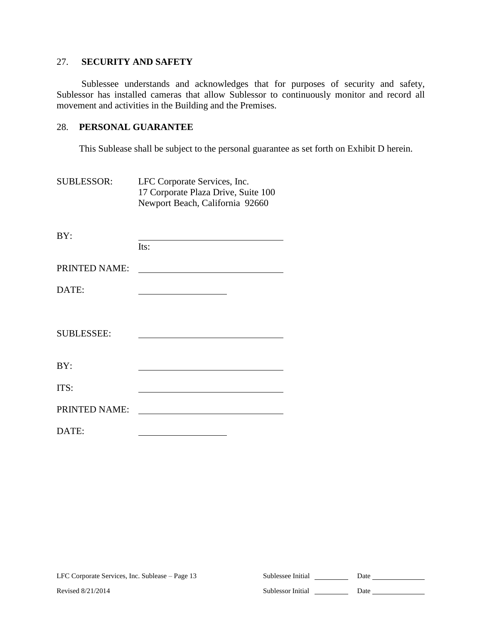#### 27. **SECURITY AND SAFETY**

Sublessee understands and acknowledges that for purposes of security and safety, Sublessor has installed cameras that allow Sublessor to continuously monitor and record all movement and activities in the Building and the Premises.

#### 28. **PERSONAL GUARANTEE**

This Sublease shall be subject to the personal guarantee as set forth on Exhibit D herein.

SUBLESSOR: LFC Corporate Services, Inc. 17 Corporate Plaza Drive, Suite 100 Newport Beach, California 92660

| BY:               | Its:                                                                                                                                                                                                                                 |
|-------------------|--------------------------------------------------------------------------------------------------------------------------------------------------------------------------------------------------------------------------------------|
| PRINTED NAME:     |                                                                                                                                                                                                                                      |
| DATE:             | <u> 1980 - Johann Barn, mars ann an t-Amhain Aonaich an t-Aonaich an t-Aonaich an t-Aonaich an t-Aonaich an t-Aon</u>                                                                                                                |
|                   |                                                                                                                                                                                                                                      |
| <b>SUBLESSEE:</b> |                                                                                                                                                                                                                                      |
| BY:               |                                                                                                                                                                                                                                      |
| ITS:              |                                                                                                                                                                                                                                      |
| PRINTED NAME:     | <u> 1989 - Andrea Albert III, martin a bhaile an t-Albert III, an t-Albert III, an t-Albert III, an t-Albert III, an t-Albert III, an t-Albert III, an t-Albert III, an t-Albert III, an t-Albert III, an t-Albert III, an t-Alb</u> |
| DATE:             |                                                                                                                                                                                                                                      |

| LFC Corporate Services, Inc. Sublease – Page 13 | Sublessee Initial | Date |
|-------------------------------------------------|-------------------|------|
| Revised 8/21/2014                               | Sublessor Initial | Date |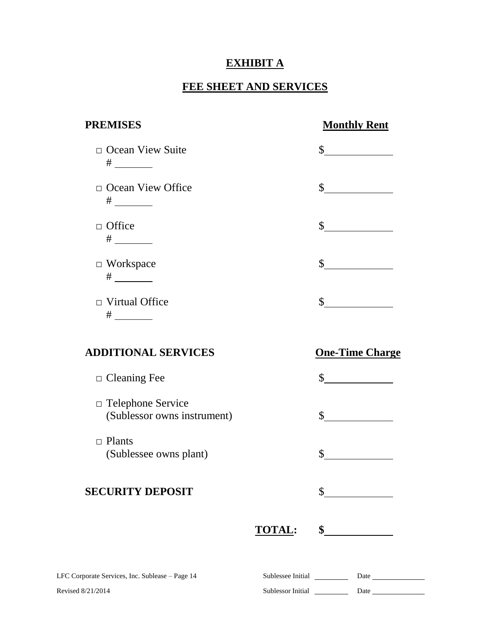# **EXHIBIT A**

# **FEE SHEET AND SERVICES**

| <b>PREMISES</b>                                         |               | <b>Monthly Rent</b>                                                                                                                                                                                                                                                                                                                                                          |
|---------------------------------------------------------|---------------|------------------------------------------------------------------------------------------------------------------------------------------------------------------------------------------------------------------------------------------------------------------------------------------------------------------------------------------------------------------------------|
| □ Ocean View Suite                                      |               | $\frac{1}{2}$                                                                                                                                                                                                                                                                                                                                                                |
| $\Box$ Ocean View Office                                |               | $\frac{\text{S}}{\text{S}}$                                                                                                                                                                                                                                                                                                                                                  |
| $\Box$ Office<br># $\_\_\_\_\_\_\_\_\_\_\_$             |               | $\frac{1}{2}$                                                                                                                                                                                                                                                                                                                                                                |
| $\Box$ Workspace                                        |               | $\frac{\S_{\frac{1}{2}}}{\S_{\frac{1}{2}}}{\S_{\frac{1}{2}}}{\S_{\frac{1}{2}}}{\S_{\frac{1}{2}}}{\S_{\frac{1}{2}}}{\S_{\frac{1}{2}}}{\S_{\frac{1}{2}}}{\S_{\frac{1}{2}}}{\S_{\frac{1}{2}}}{\S_{\frac{1}{2}}}{\S_{\frac{1}{2}}}{\S_{\frac{1}{2}}}{\S_{\frac{1}{2}}}{\S_{\frac{1}{2}}}{\S_{\frac{1}{2}}}{\S_{\frac{1}{2}}}{\S_{\frac{1}{2}}}{\S_{\frac{1}{2}}}{\S_{\frac{1}{2$ |
| $\Box$ Virtual Office                                   |               | $\frac{1}{2}$                                                                                                                                                                                                                                                                                                                                                                |
| <b>ADDITIONAL SERVICES</b>                              |               | <b>One-Time Charge</b>                                                                                                                                                                                                                                                                                                                                                       |
| $\Box$ Cleaning Fee                                     |               | $\sim$ $\sim$                                                                                                                                                                                                                                                                                                                                                                |
| $\Box$ Telephone Service<br>(Sublessor owns instrument) |               | $\frac{1}{2}$                                                                                                                                                                                                                                                                                                                                                                |
| $\Box$ Plants<br>(Sublessee owns plant)                 |               | \$                                                                                                                                                                                                                                                                                                                                                                           |
| <b>SECURITY DEPOSIT</b>                                 |               | \$                                                                                                                                                                                                                                                                                                                                                                           |
|                                                         | <b>TOTAL:</b> | $\sim$                                                                                                                                                                                                                                                                                                                                                                       |
| LFC Corporate Services, Inc. Sublease - Page 14         |               | Date                                                                                                                                                                                                                                                                                                                                                                         |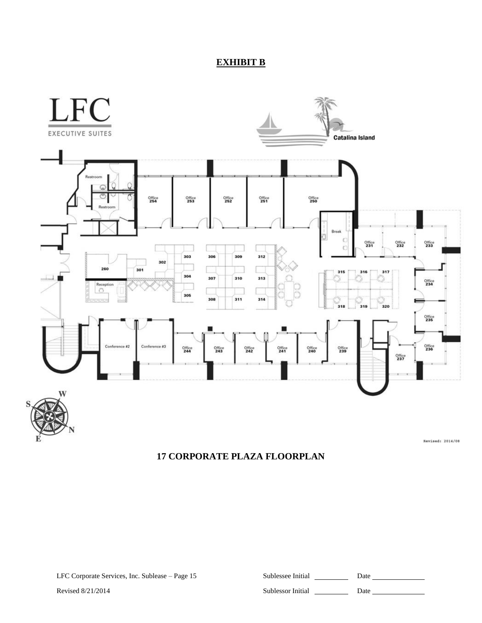# **EXHIBIT B**



# **17 CORPORATE PLAZA FLOORPLAN**

| lessee Initial | Date |
|----------------|------|
|                |      |

Revised 8/21/2014 **Sublessor Initial** Date Date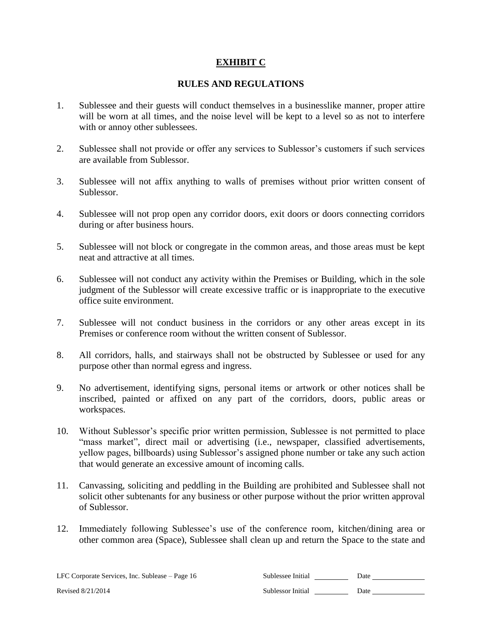#### **EXHIBIT C**

#### **RULES AND REGULATIONS**

- 1. Sublessee and their guests will conduct themselves in a businesslike manner, proper attire will be worn at all times, and the noise level will be kept to a level so as not to interfere with or annoy other sublessees.
- 2. Sublessee shall not provide or offer any services to Sublessor's customers if such services are available from Sublessor.
- 3. Sublessee will not affix anything to walls of premises without prior written consent of Sublessor.
- 4. Sublessee will not prop open any corridor doors, exit doors or doors connecting corridors during or after business hours.
- 5. Sublessee will not block or congregate in the common areas, and those areas must be kept neat and attractive at all times.
- 6. Sublessee will not conduct any activity within the Premises or Building, which in the sole judgment of the Sublessor will create excessive traffic or is inappropriate to the executive office suite environment.
- 7. Sublessee will not conduct business in the corridors or any other areas except in its Premises or conference room without the written consent of Sublessor.
- 8. All corridors, halls, and stairways shall not be obstructed by Sublessee or used for any purpose other than normal egress and ingress.
- 9. No advertisement, identifying signs, personal items or artwork or other notices shall be inscribed, painted or affixed on any part of the corridors, doors, public areas or workspaces.
- 10. Without Sublessor's specific prior written permission, Sublessee is not permitted to place "mass market", direct mail or advertising (i.e., newspaper, classified advertisements, yellow pages, billboards) using Sublessor's assigned phone number or take any such action that would generate an excessive amount of incoming calls.
- 11. Canvassing, soliciting and peddling in the Building are prohibited and Sublessee shall not solicit other subtenants for any business or other purpose without the prior written approval of Sublessor.
- 12. Immediately following Sublessee's use of the conference room, kitchen/dining area or other common area (Space), Sublessee shall clean up and return the Space to the state and

LFC Corporate Services, Inc. Sublease – Page 16 Sublessee Initial 2008 Date 2014

Revised 8/21/2014 Sublessor Initial Date Date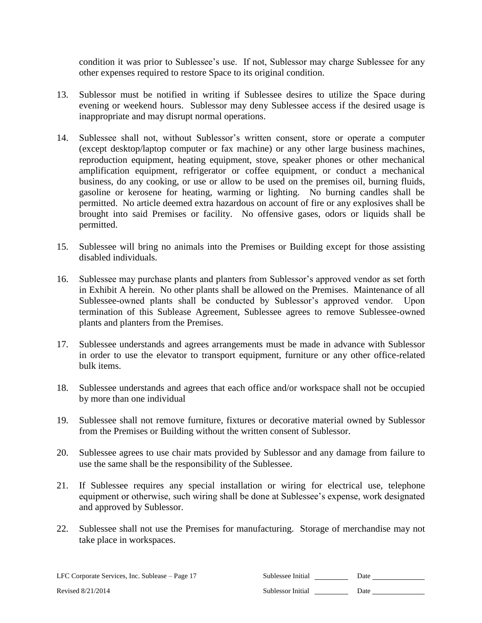condition it was prior to Sublessee's use. If not, Sublessor may charge Sublessee for any other expenses required to restore Space to its original condition.

- 13. Sublessor must be notified in writing if Sublessee desires to utilize the Space during evening or weekend hours. Sublessor may deny Sublessee access if the desired usage is inappropriate and may disrupt normal operations.
- 14. Sublessee shall not, without Sublessor's written consent, store or operate a computer (except desktop/laptop computer or fax machine) or any other large business machines, reproduction equipment, heating equipment, stove, speaker phones or other mechanical amplification equipment, refrigerator or coffee equipment, or conduct a mechanical business, do any cooking, or use or allow to be used on the premises oil, burning fluids, gasoline or kerosene for heating, warming or lighting. No burning candles shall be permitted. No article deemed extra hazardous on account of fire or any explosives shall be brought into said Premises or facility. No offensive gases, odors or liquids shall be permitted.
- 15. Sublessee will bring no animals into the Premises or Building except for those assisting disabled individuals.
- 16. Sublessee may purchase plants and planters from Sublessor's approved vendor as set forth in Exhibit A herein. No other plants shall be allowed on the Premises. Maintenance of all Sublessee-owned plants shall be conducted by Sublessor's approved vendor. Upon termination of this Sublease Agreement, Sublessee agrees to remove Sublessee-owned plants and planters from the Premises.
- 17. Sublessee understands and agrees arrangements must be made in advance with Sublessor in order to use the elevator to transport equipment, furniture or any other office-related bulk items.
- 18. Sublessee understands and agrees that each office and/or workspace shall not be occupied by more than one individual
- 19. Sublessee shall not remove furniture, fixtures or decorative material owned by Sublessor from the Premises or Building without the written consent of Sublessor.
- 20. Sublessee agrees to use chair mats provided by Sublessor and any damage from failure to use the same shall be the responsibility of the Sublessee.
- 21. If Sublessee requires any special installation or wiring for electrical use, telephone equipment or otherwise, such wiring shall be done at Sublessee's expense, work designated and approved by Sublessor.
- 22. Sublessee shall not use the Premises for manufacturing. Storage of merchandise may not take place in workspaces.

LFC Corporate Services, Inc. Sublease – Page 17 Sub

| iblessee Initial | Date |  |
|------------------|------|--|
|                  |      |  |

Revised 8/21/2014 Sublessor Initial **Sublessor Initial** Date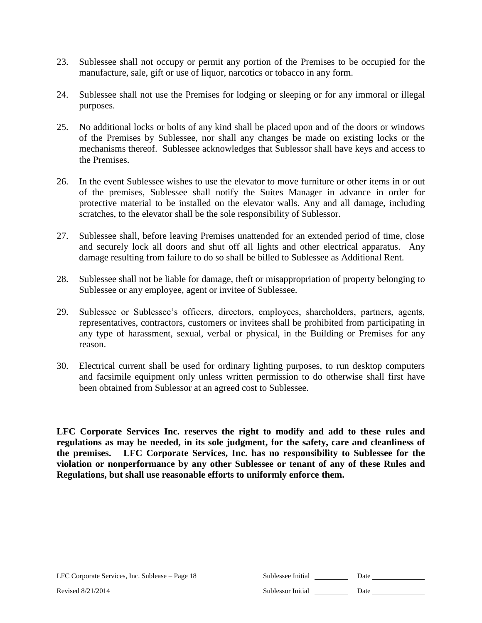- 23. Sublessee shall not occupy or permit any portion of the Premises to be occupied for the manufacture, sale, gift or use of liquor, narcotics or tobacco in any form.
- 24. Sublessee shall not use the Premises for lodging or sleeping or for any immoral or illegal purposes.
- 25. No additional locks or bolts of any kind shall be placed upon and of the doors or windows of the Premises by Sublessee, nor shall any changes be made on existing locks or the mechanisms thereof. Sublessee acknowledges that Sublessor shall have keys and access to the Premises.
- 26. In the event Sublessee wishes to use the elevator to move furniture or other items in or out of the premises, Sublessee shall notify the Suites Manager in advance in order for protective material to be installed on the elevator walls. Any and all damage, including scratches, to the elevator shall be the sole responsibility of Sublessor.
- 27. Sublessee shall, before leaving Premises unattended for an extended period of time, close and securely lock all doors and shut off all lights and other electrical apparatus. Any damage resulting from failure to do so shall be billed to Sublessee as Additional Rent.
- 28. Sublessee shall not be liable for damage, theft or misappropriation of property belonging to Sublessee or any employee, agent or invitee of Sublessee.
- 29. Sublessee or Sublessee's officers, directors, employees, shareholders, partners, agents, representatives, contractors, customers or invitees shall be prohibited from participating in any type of harassment, sexual, verbal or physical, in the Building or Premises for any reason.
- 30. Electrical current shall be used for ordinary lighting purposes, to run desktop computers and facsimile equipment only unless written permission to do otherwise shall first have been obtained from Sublessor at an agreed cost to Sublessee.

**LFC Corporate Services Inc. reserves the right to modify and add to these rules and regulations as may be needed, in its sole judgment, for the safety, care and cleanliness of the premises. LFC Corporate Services, Inc. has no responsibility to Sublessee for the violation or nonperformance by any other Sublessee or tenant of any of these Rules and Regulations, but shall use reasonable efforts to uniformly enforce them.**

| LFC Corporate Services, Inc. Sublease – Page 18 | Sublessee Initial | Date |
|-------------------------------------------------|-------------------|------|
| Revised 8/21/2014                               | Sublessor Initial | Date |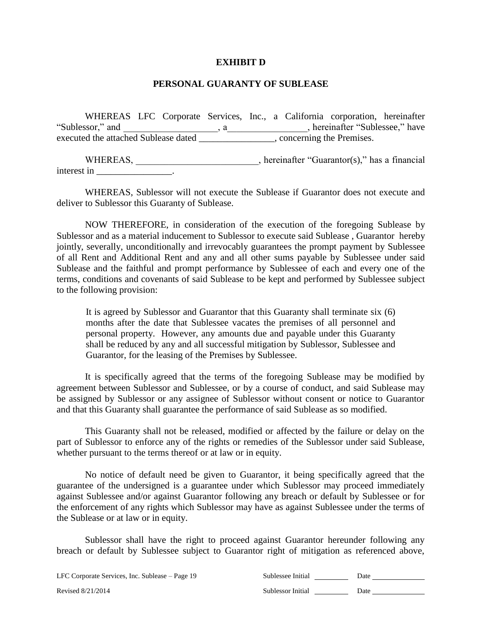#### **EXHIBIT D**

#### **PERSONAL GUARANTY OF SUBLEASE**

WHEREAS LFC Corporate Services, Inc., a California corporation, hereinafter "Sublessor," and  $\qquad \qquad$ , a  $\qquad \qquad$ , hereinafter "Sublessee," have executed the attached Sublease dated \_\_\_\_\_\_\_\_\_\_\_\_\_\_\_, concerning the Premises.

WHEREAS, \_\_\_\_\_\_\_\_\_\_\_\_\_\_\_\_\_\_\_\_\_\_\_, hereinafter "Guarantor(s)," has a financial interest in **and the set of the set of the set of the set of the set of the set of the set of the set of the set of the set of the set of the set of the set of the set of the set of the set of the set of the set of the set** 

WHEREAS, Sublessor will not execute the Sublease if Guarantor does not execute and deliver to Sublessor this Guaranty of Sublease.

NOW THEREFORE, in consideration of the execution of the foregoing Sublease by Sublessor and as a material inducement to Sublessor to execute said Sublease , Guarantor hereby jointly, severally, unconditionally and irrevocably guarantees the prompt payment by Sublessee of all Rent and Additional Rent and any and all other sums payable by Sublessee under said Sublease and the faithful and prompt performance by Sublessee of each and every one of the terms, conditions and covenants of said Sublease to be kept and performed by Sublessee subject to the following provision:

It is agreed by Sublessor and Guarantor that this Guaranty shall terminate six (6) months after the date that Sublessee vacates the premises of all personnel and personal property. However, any amounts due and payable under this Guaranty shall be reduced by any and all successful mitigation by Sublessor, Sublessee and Guarantor, for the leasing of the Premises by Sublessee.

It is specifically agreed that the terms of the foregoing Sublease may be modified by agreement between Sublessor and Sublessee, or by a course of conduct, and said Sublease may be assigned by Sublessor or any assignee of Sublessor without consent or notice to Guarantor and that this Guaranty shall guarantee the performance of said Sublease as so modified.

This Guaranty shall not be released, modified or affected by the failure or delay on the part of Sublessor to enforce any of the rights or remedies of the Sublessor under said Sublease, whether pursuant to the terms thereof or at law or in equity.

No notice of default need be given to Guarantor, it being specifically agreed that the guarantee of the undersigned is a guarantee under which Sublessor may proceed immediately against Sublessee and/or against Guarantor following any breach or default by Sublessee or for the enforcement of any rights which Sublessor may have as against Sublessee under the terms of the Sublease or at law or in equity.

Sublessor shall have the right to proceed against Guarantor hereunder following any breach or default by Sublessee subject to Guarantor right of mitigation as referenced above,

LFC Corporate Services, Inc. Sublease – Page 19 Sub-Revised 8/21/2014 Sublessor Initial Date Date

| ublessee Initial | Date |  |
|------------------|------|--|
|                  |      |  |